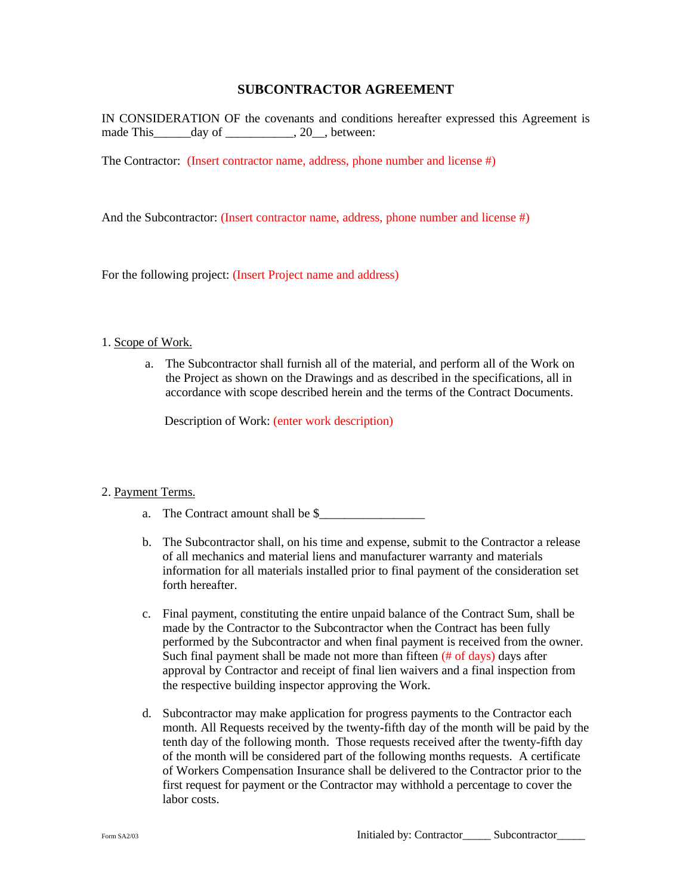# **SUBCONTRACTOR AGREEMENT**

IN CONSIDERATION OF the covenants and conditions hereafter expressed this Agreement is made This day of 20, between:

The Contractor: (Insert contractor name, address, phone number and license #)

And the Subcontractor: (Insert contractor name, address, phone number and license #)

For the following project: (Insert Project name and address)

#### 1. Scope of Work.

a. The Subcontractor shall furnish all of the material, and perform all of the Work on the Project as shown on the Drawings and as described in the specifications, all in accordance with scope described herein and the terms of the Contract Documents.

Description of Work: (enter work description)

#### 2. Payment Terms.

- a. The Contract amount shall be \$
- b. The Subcontractor shall, on his time and expense, submit to the Contractor a release of all mechanics and material liens and manufacturer warranty and materials information for all materials installed prior to final payment of the consideration set forth hereafter.
- c. Final payment, constituting the entire unpaid balance of the Contract Sum, shall be made by the Contractor to the Subcontractor when the Contract has been fully performed by the Subcontractor and when final payment is received from the owner. Such final payment shall be made not more than fifteen  $(\# \text{ of days})$  days after approval by Contractor and receipt of final lien waivers and a final inspection from the respective building inspector approving the Work.
- d. Subcontractor may make application for progress payments to the Contractor each month. All Requests received by the twenty-fifth day of the month will be paid by the tenth day of the following month. Those requests received after the twenty-fifth day of the month will be considered part of the following months requests. A certificate of Workers Compensation Insurance shall be delivered to the Contractor prior to the first request for payment or the Contractor may withhold a percentage to cover the labor costs.